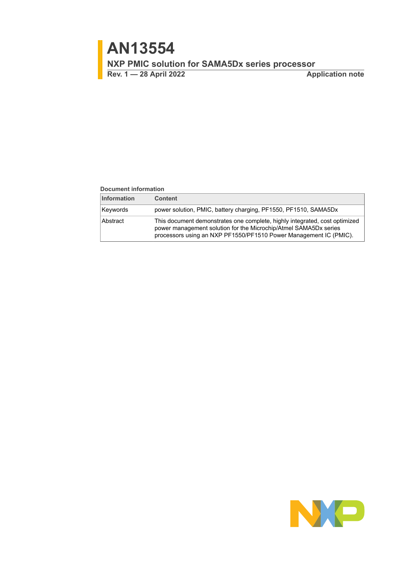**Rev. 1 — 28 April 2022 Application note**

#### **Document information**

| <b>Information</b> | <b>Content</b>                                                                                                                                                                                                      |
|--------------------|---------------------------------------------------------------------------------------------------------------------------------------------------------------------------------------------------------------------|
| Keywords           | power solution, PMIC, battery charging, PF1550, PF1510, SAMA5Dx                                                                                                                                                     |
| Abstract           | This document demonstrates one complete, highly integrated, cost optimized<br>power management solution for the Microchip/Atmel SAMA5Dx series<br>processors using an NXP PF1550/PF1510 Power Management IC (PMIC). |

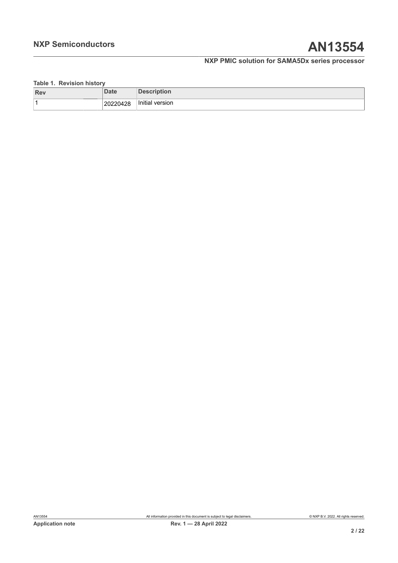## <span id="page-1-0"></span>**Table 1. Revision history**

| <b>Rev</b> | Date     | <b>Description</b> |
|------------|----------|--------------------|
|            | 20220428 | Initial version    |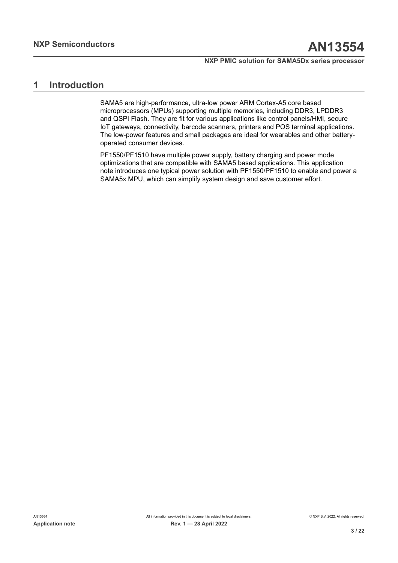## <span id="page-2-0"></span>**1 Introduction**

SAMA5 are high-performance, ultra-low power ARM Cortex-A5 core based microprocessors (MPUs) supporting multiple memories, including DDR3, LPDDR3 and QSPI Flash. They are fit for various applications like control panels/HMI, secure IoT gateways, connectivity, barcode scanners, printers and POS terminal applications. The low-power features and small packages are ideal for wearables and other batteryoperated consumer devices.

PF1550/PF1510 have multiple power supply, battery charging and power mode optimizations that are compatible with SAMA5 based applications. This application note introduces one typical power solution with PF1550/PF1510 to enable and power a SAMA5x MPU, which can simplify system design and save customer effort.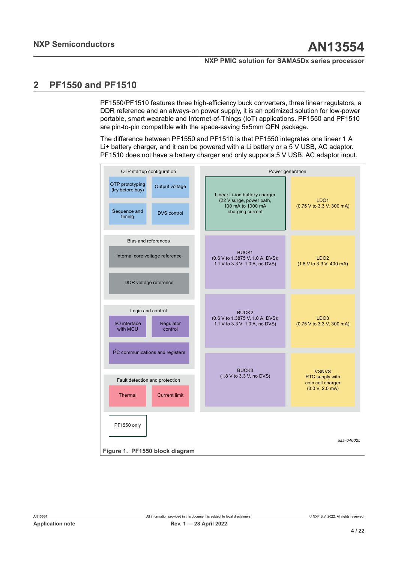## <span id="page-3-1"></span>**2 PF1550 and PF1510**

PF1550/PF1510 features three high-efficiency buck converters, three linear regulators, a DDR reference and an always-on power supply, it is an optimized solution for low-power portable, smart wearable and Internet-of-Things (IoT) applications. PF1550 and PF1510 are pin-to-pin compatible with the space-saving 5x5mm QFN package.

The difference between PF1550 and PF1510 is that PF1550 integrates one linear 1 A Li+ battery charger, and it can be powered with a Li battery or a 5 V USB, AC adaptor. PF1510 does not have a battery charger and only supports 5 V USB, AC adaptor input.

<span id="page-3-0"></span>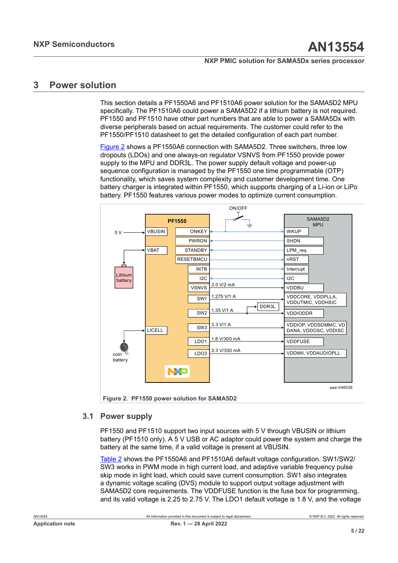## <span id="page-4-1"></span>**3 Power solution**

This section details a PF1550A6 and PF1510A6 power solution for the SAMA5D2 MPU specifically. The PF1510A6 could power a SAMA5D2 if a lithium battery is not required. PF1550 and PF1510 have other part numbers that are able to power a SAMA5Dx with diverse peripherals based on actual requirements. The customer could refer to the PF1550/PF1510 datasheet to get the detailed configuration of each part number.

[Figure 2](#page-4-0) shows a PF1550A6 connection with SAMA5D2. Three switchers, three low dropouts (LDOs) and one always-on regulator VSNVS from PF1550 provide power supply to the MPU and DDR3L. The power supply default voltage and power-up sequence configuration is managed by the PF1550 one time programmable (OTP) functionality, which saves system complexity and customer development time. One battery charger is integrated within PF1550, which supports charging of a Li-ion or LiPo battery. PF1550 features various power modes to optimize current consumption.

<span id="page-4-0"></span>

## **3.1 Power supply**

<span id="page-4-2"></span>PF1550 and PF1510 support two input sources with 5 V through VBUSIN or lithium battery (PF1510 only). A 5 V USB or AC adaptor could power the system and charge the battery at the same time, if a valid voltage is present at VBUSIN.

[Table](#page-6-0) 2 shows the PF1550A6 and PF1510A6 default voltage configuration. SW1/SW2/ SW3 works in PWM mode in high current load, and adaptive variable frequency pulse skip mode in light load, which could save current consumption. SW1 also integrates a dynamic voltage scaling (DVS) module to support output voltage adjustment with SAMA5D2 core requirements. The VDDFUSE function is the fuse box for programming, and its valid voltage is 2.25 to 2.75 V. The LDO1 default voltage is 1.8 V, and the voltage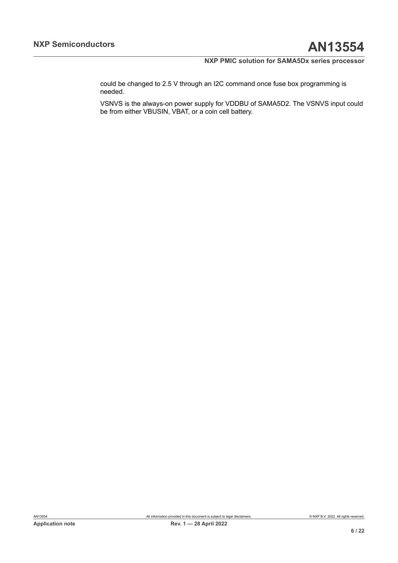could be changed to 2.5 V through an I2C command once fuse box programming is needed.

VSNVS is the always-on power supply for VDDBU of SAMA5D2. The VSNVS input could be from either VBUSIN, VBAT, or a coin cell battery.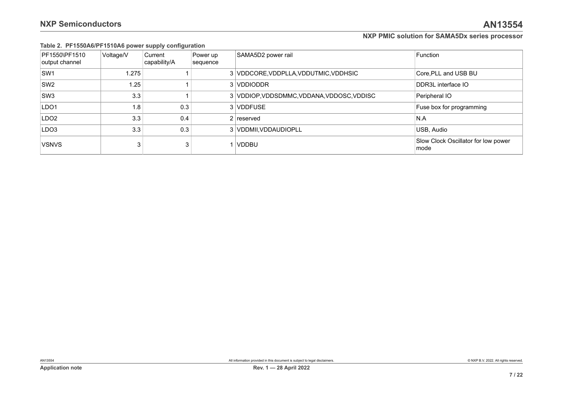|  | Table 2. PF1550A6/PF1510A6 power supply configuration |  |  |
|--|-------------------------------------------------------|--|--|
|--|-------------------------------------------------------|--|--|

<span id="page-6-0"></span>

| PF1550\PF1510<br>output channel | Voltage/V | Current<br>capability/A | Power up<br>sequence | SAMA5D2 power rail                         | Function                                    |
|---------------------------------|-----------|-------------------------|----------------------|--------------------------------------------|---------------------------------------------|
| SW <sub>1</sub>                 | 1.275     |                         |                      | 3 VDDCORE, VDDPLLA, VDDUTMIC, VDDHSIC      | Core, PLL and USB BU                        |
| SW <sub>2</sub>                 | 1.25      |                         |                      | 3 VDDIODDR                                 | DDR3L interface IO                          |
| SW <sub>3</sub>                 | 3.3       |                         |                      | 3 VDDIOP, VDDSDMMC, VDDANA, VDDOSC, VDDISC | Peripheral IO                               |
| LDO <sub>1</sub>                | 1.8       | 0.3                     |                      | 3 VDDFUSE                                  | Fuse box for programming                    |
| LDO <sub>2</sub>                | 3.3       | 0.4                     |                      | $2$ reserved                               | N.A                                         |
| LDO <sub>3</sub>                | 3.3       | 0.3                     |                      | 3 VDDMII, VDDAUDIOPLL                      | USB, Audio                                  |
| <b>VSNVS</b>                    | 3         | 3                       |                      | <b>VDDBU</b>                               | Slow Clock Oscillator for low power<br>mode |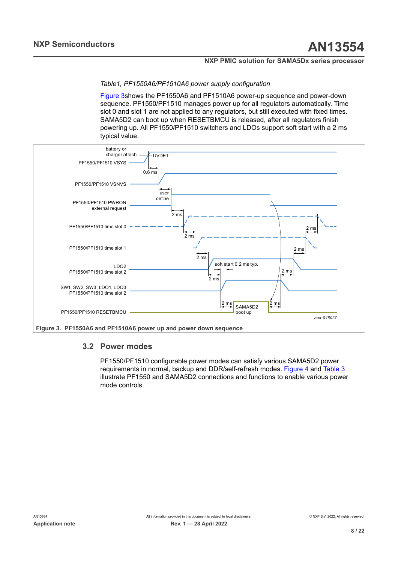*Table1, PF1550A6/PF1510A6 power supply configuration*

<span id="page-7-0"></span>[Figure 3s](#page-7-0)hows the PF1550A6 and PF1510A6 power-up sequence and power-down sequence. PF1550/PF1510 manages power up for all regulators automatically. Time slot 0 and slot 1 are not applied to any regulators, but still executed with fixed times. SAMA5D2 can boot up when RESETBMCU is released, after all regulators finish powering up. All PF1550/PF1510 switchers and LDOs support soft start with a 2 ms typical value.



## **3.2 Power modes**

<span id="page-7-1"></span>PF1550/PF1510 configurable power modes can satisfy various SAMA5D2 power requirements in normal, backup and DDR/self-refresh modes. [Figure 4](#page-8-0) and [Table](#page-9-0) 3 illustrate PF1550 and SAMA5D2 connections and functions to enable various power mode controls.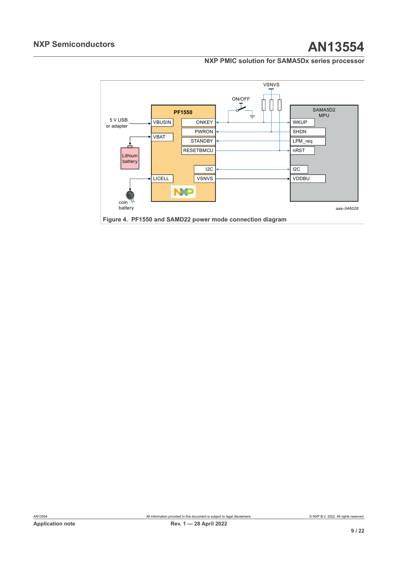<span id="page-8-0"></span>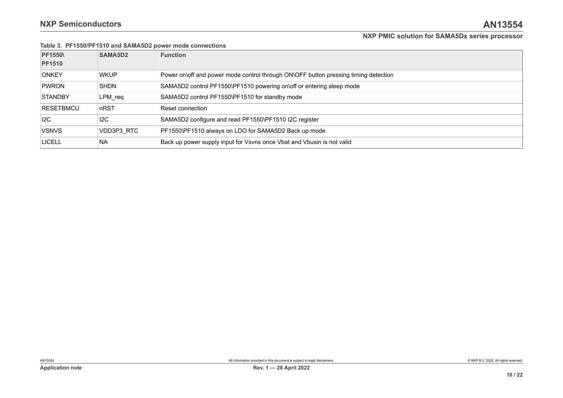|                  | Table 3. PF1550/PF1510 and SAMA5D2 power mode connections |                                                                                     |  |  |
|------------------|-----------------------------------------------------------|-------------------------------------------------------------------------------------|--|--|
| <b>PF1550\</b>   | SAMA5D2                                                   | <b>Function</b>                                                                     |  |  |
| <b>PF1510</b>    |                                                           |                                                                                     |  |  |
| <b>ONKEY</b>     | <b>WKUP</b>                                               | Power on\off and power mode control through ON\OFF button pressing timing detection |  |  |
| <b>PWRON</b>     | <b>SHDN</b>                                               | SAMA5D2 control PF1550\PF1510 powering on\off or entering sleep mode                |  |  |
| <b>STANDBY</b>   | LPM req                                                   | SAMA5D2 control PF1550\PF1510 for standby mode                                      |  |  |
| <b>RESETBMCU</b> | nRST                                                      | Reset connection                                                                    |  |  |
| 12C              | 12C                                                       | SAMA5D2 configure and read PF1550\PF1510 I2C register                               |  |  |
| <b>VSNVS</b>     | VDD3P3 RTC                                                | PF1550\PF1510 always on LDO for SAMA5D2 Back up mode                                |  |  |
| <b>LICELL</b>    | <b>NA</b>                                                 | Back up power supply input for Vsvns once Vbat and Vbusin is not valid              |  |  |

<span id="page-9-0"></span>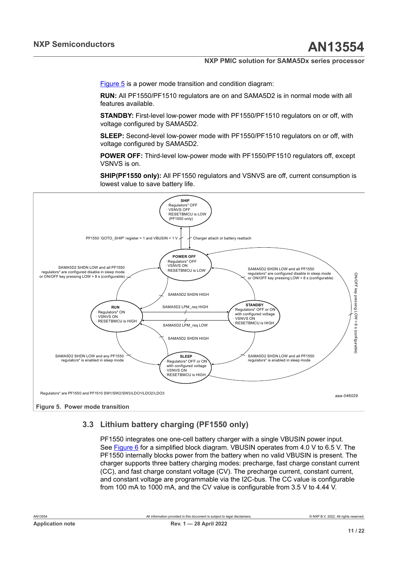[Figure 5](#page-10-0) is a power mode transition and condition diagram:

**RUN:** All PF1550/PF1510 regulators are on and SAMA5D2 is in normal mode with all features available.

**STANDBY:** First-level low-power mode with PF1550/PF1510 regulators on or off, with voltage configured by SAMA5D2.

**SLEEP:** Second-level low-power mode with PF1550/PF1510 regulators on or off, with voltage configured by SAMA5D2.

**POWER OFF:** Third-level low-power mode with PF1550/PF1510 regulators off, except VSNVS is on.

<span id="page-10-0"></span>**SHIP(PF1550 only):** All PF1550 regulators and VSNVS are off, current consumption is lowest value to save battery life.



## **3.3 Lithium battery charging (PF1550 only)**

<span id="page-10-1"></span>PF1550 integrates one one-cell battery charger with a single VBUSIN power input. See [Figure 6](#page-11-0) for a simplified block diagram. VBUSIN operates from 4.0 V to 6.5 V. The PF1550 internally blocks power from the battery when no valid VBUSIN is present. The charger supports three battery charging modes: precharge, fast charge constant current (CC), and fast charge constant voltage (CV). The precharge current, constant current, and constant voltage are programmable via the I2C-bus. The CC value is configurable from 100 mA to 1000 mA, and the CV value is configurable from 3.5 V to 4.44 V.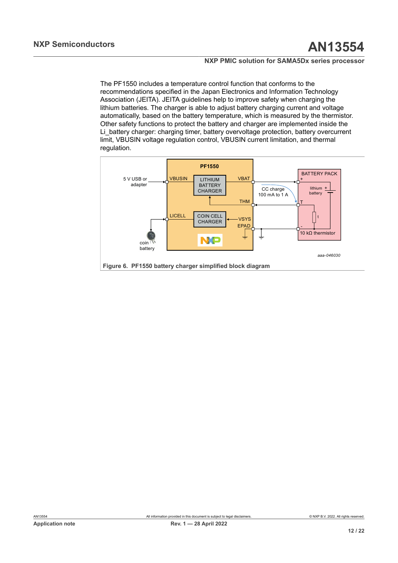The PF1550 includes a temperature control function that conforms to the recommendations specified in the Japan Electronics and Information Technology Association (JEITA). JEITA guidelines help to improve safety when charging the lithium batteries. The charger is able to adjust battery charging current and voltage automatically, based on the battery temperature, which is measured by the thermistor. Other safety functions to protect the battery and charger are implemented inside the Li\_battery charger: charging timer, battery overvoltage protection, battery overcurrent limit, VBUSIN voltage regulation control, VBUSIN current limitation, and thermal regulation.

<span id="page-11-0"></span>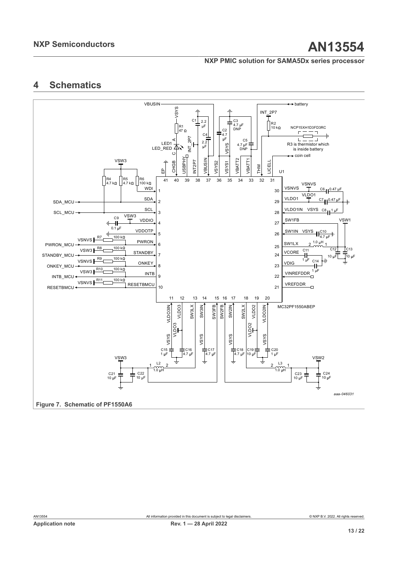## <span id="page-12-1"></span><span id="page-12-0"></span>**4 Schematics**

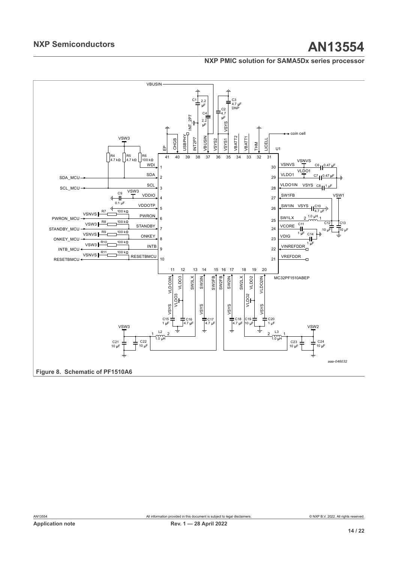<span id="page-13-0"></span>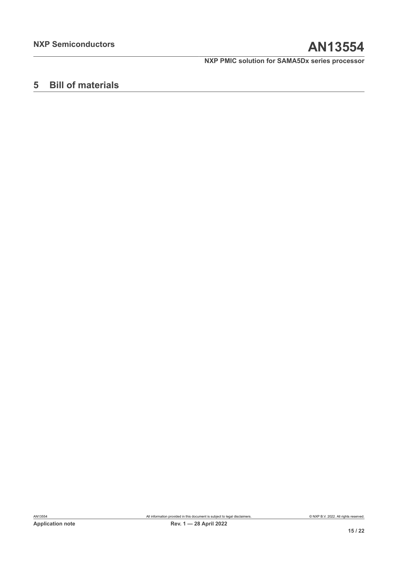## <span id="page-14-0"></span>**5 Bill of materials**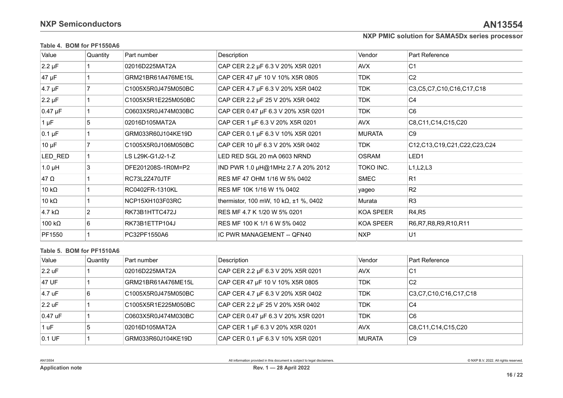| Value          | Quantity       | Part number         | Description                           | Vendor           | Part Reference              |
|----------------|----------------|---------------------|---------------------------------------|------------------|-----------------------------|
| $2.2 \mu F$    |                | 02016D225MAT2A      | CAP CER 2.2 µF 6.3 V 20% X5R 0201     | AVX              | C <sub>1</sub>              |
| $47 \mu F$     |                | GRM21BR61A476ME15L  | CAP CER 47 µF 10 V 10% X5R 0805       | <b>TDK</b>       | C <sub>2</sub>              |
| $4.7 \mu F$    |                | C1005X5R0J475M050BC | CAP CER 4.7 µF 6.3 V 20% X5R 0402     | <b>TDK</b>       | C3,C5,C7,C10,C16,C17,C18    |
| $2.2 \mu F$    |                | C1005X5R1E225M050BC | CAP CER 2.2 µF 25 V 20% X5R 0402      | <b>TDK</b>       | C <sub>4</sub>              |
| $0.47 \mu F$   |                | C0603X5R0J474M030BC | CAP CER 0.47 µF 6.3 V 20% X5R 0201    | <b>TDK</b>       | C <sub>6</sub>              |
| $1 \mu F$      | 5              | 02016D105MAT2A      | CAP CER 1 µF 6.3 V 20% X5R 0201       | AVX              | C8,C11,C14,C15,C20          |
| $0.1 \mu F$    |                | GRM033R60J104KE19D  | CAP CER 0.1 μF 6.3 V 10% X5R 0201     | MURATA           | C <sub>9</sub>              |
| $10 \mu F$     |                | C1005X5R0J106M050BC | CAP CER 10 µF 6.3 V 20% X5R 0402      | <b>TDK</b>       | C12,C13,C19,C21,C22,C23,C24 |
| LED_RED        |                | LS L29K-G1J2-1-Z    | LED RED SGL 20 mA 0603 NRND           | <b>OSRAM</b>     | LED <sub>1</sub>            |
| $1.0 \mu H$    | 3              | DFE201208S-1R0M=P2  | IND PWR 1.0 µH@1MHz 2.7 A 20% 2012    | TOKO INC.        | L1, L2, L3                  |
| $47 \Omega$    |                | RC73L2Z470JTF       | RES MF 47 OHM 1/16 W 5% 0402          | <b>SMEC</b>      | R <sub>1</sub>              |
| 10 k $\Omega$  |                | RC0402FR-1310KL     | RES MF 10K 1/16 W 1% 0402             | yageo            | R <sub>2</sub>              |
| 10 k $\Omega$  |                | NCP15XH103F03RC     | thermistor, 100 mW, 10 kΩ, ±1 %, 0402 | Murata           | R <sub>3</sub>              |
| 4.7 k $\Omega$ | $\overline{2}$ | RK73B1HTTC472J      | RES MF 4.7 K 1/20 W 5% 0201           | KOA SPEER        | R4, R5                      |
| 100 k $\Omega$ | 6              | RK73B1ETTP104J      | RES MF 100 K 1/1 6 W 5% 0402          | <b>KOA SPEER</b> | R6, R7, R8, R9, R10, R11    |
| PF1550         |                | PC32PF1550A6        | IC PWR MANAGEMENT -- QFN40            | <b>NXP</b>       | U1                          |

#### **Table 4. BOM for PF1550A6**

## <span id="page-15-0"></span>**Table 5. BOM for PF1510A6**

| Value              | Quantity | Part number         | Description                        | Vendor        | Part Reference             |
|--------------------|----------|---------------------|------------------------------------|---------------|----------------------------|
| $ 2.2 \text{ uF} $ |          | 02016D225MAT2A      | CAP CER 2.2 µF 6.3 V 20% X5R 0201  | <b>AVX</b>    | C <sub>1</sub>             |
| 47 UF              |          | GRM21BR61A476ME15L  | CAP CER 47 µF 10 V 10% X5R 0805    | <b>TDK</b>    | C <sub>2</sub>             |
| 4.7 <sub>uF</sub>  |          | C1005X5R0J475M050BC | CAP CER 4.7 µF 6.3 V 20% X5R 0402  | <b>TDK</b>    | C3, C7, C10, C16, C17, C18 |
| $ 2.2 \text{ uF} $ |          | C1005X5R1E225M050BC | CAP CER 2.2 µF 25 V 20% X5R 0402   | <b>TDK</b>    | C <sub>4</sub>             |
| $0.47$ uF          |          | C0603X5R0J474M030BC | CAP CER 0.47 µF 6.3 V 20% X5R 0201 | <b>TDK</b>    | C <sub>6</sub>             |
| 1 uF               | 5        | 02016D105MAT2A      | CAP CER 1 µF 6.3 V 20% X5R 0201    | AVX           | C8.C11.C14.C15.C20         |
| $0.1$ UF           |          | GRM033R60J104KE19D  | CAP CER 0.1 µF 6.3 V 10% X5R 0201  | <b>MURATA</b> | C <sub>9</sub>             |

<span id="page-15-1"></span>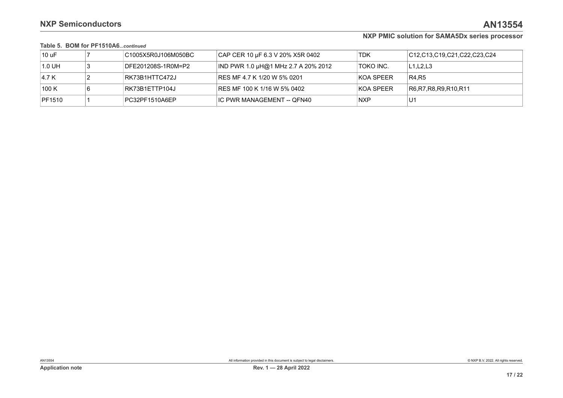### **Table 5. BOM for PF1510A6***...continued*

| 10 uF  | 「C1005X5R0J106M050BC | CAP CER 10 µF 6.3 V 20% X5R 0402        | TDK              | C12.C13.C19.C21.C22.C23.C24 |
|--------|----------------------|-----------------------------------------|------------------|-----------------------------|
| 1.0 UH | DFE201208S-1R0M=P2   | $ $ IND PWR 1.0 µH@1 MHz 2.7 A 20% 2012 | <b>TOKO INC.</b> | L1,L2,L3                    |
| 4.7 K  | RK73B1HTTC472J       | RES MF 4.7 K 1/20 W 5% 0201             | KOA SPEER        | R4.R5                       |
| 100 K  | RK73B1ETTP104J       | RES MF 100 K 1/16 W 5% 0402             | KOA SPEER        | R6, R7, R8, R9, R10, R11    |
| PF1510 | PC32PF1510A6EP       | IC PWR MANAGEMENT -- QFN40              | <b>NXP</b>       | U1                          |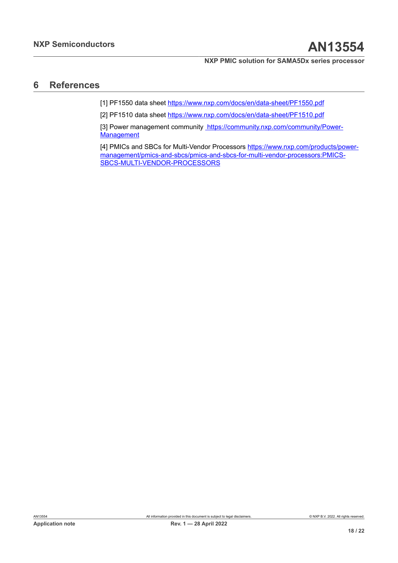## <span id="page-17-0"></span>**6 References**

[1] PF1550 data sheet<https://www.nxp.com/docs/en/data-sheet/PF1550.pdf>

[2] PF1510 data sheet<https://www.nxp.com/docs/en/data-sheet/PF1510.pdf>

[3] Power management community [https://community.nxp.com/community/Power-](https://community.nxp.com/community/Power-Management)**[Management](https://community.nxp.com/community/Power-Management)** 

[4] PMICs and SBCs for Multi-Vendor Processors [https://www.nxp.com/products/power](https://www.nxp.com/products/power-management/pmics-and-sbcs/pmics-and-sbcs-for-multi-vendor-processors:PMICS-SBCS-MULTI-VENDOR-PROCESSORS)[management/pmics-and-sbcs/pmics-and-sbcs-for-multi-vendor-processors:PMICS-](https://www.nxp.com/products/power-management/pmics-and-sbcs/pmics-and-sbcs-for-multi-vendor-processors:PMICS-SBCS-MULTI-VENDOR-PROCESSORS)[SBCS-MULTI-VENDOR-PROCESSORS](https://www.nxp.com/products/power-management/pmics-and-sbcs/pmics-and-sbcs-for-multi-vendor-processors:PMICS-SBCS-MULTI-VENDOR-PROCESSORS)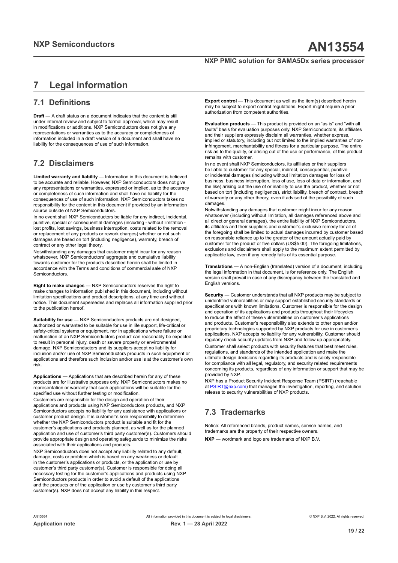## <span id="page-18-0"></span>**7 Legal information**

## **7.1 Definitions**

**Draft** — A draft status on a document indicates that the content is still under internal review and subject to formal approval, which may result in modifications or additions. NXP Semiconductors does not give any representations or warranties as to the accuracy or completeness of information included in a draft version of a document and shall have no liability for the consequences of use of such information.

## **7.2 Disclaimers**

**Limited warranty and liability** — Information in this document is believed to be accurate and reliable. However, NXP Semiconductors does not give any representations or warranties, expressed or implied, as to the accuracy or completeness of such information and shall have no liability for the consequences of use of such information. NXP Semiconductors takes no responsibility for the content in this document if provided by an information source outside of NXP Semiconductors.

In no event shall NXP Semiconductors be liable for any indirect, incidental, punitive, special or consequential damages (including - without limitation lost profits, lost savings, business interruption, costs related to the removal or replacement of any products or rework charges) whether or not such damages are based on tort (including negligence), warranty, breach of contract or any other legal theory.

Notwithstanding any damages that customer might incur for any reason whatsoever, NXP Semiconductors' aggregate and cumulative liability towards customer for the products described herein shall be limited in accordance with the Terms and conditions of commercial sale of NXP **Semiconductors** 

**Right to make changes** — NXP Semiconductors reserves the right to make changes to information published in this document, including without limitation specifications and product descriptions, at any time and without notice. This document supersedes and replaces all information supplied prior to the publication hereof.

**Suitability for use** — NXP Semiconductors products are not designed, authorized or warranted to be suitable for use in life support, life-critical or safety-critical systems or equipment, nor in applications where failure or malfunction of an NXP Semiconductors product can reasonably be expected to result in personal injury, death or severe property or environmental damage. NXP Semiconductors and its suppliers accept no liability for inclusion and/or use of NXP Semiconductors products in such equipment or applications and therefore such inclusion and/or use is at the customer's own risk.

**Applications** — Applications that are described herein for any of these products are for illustrative purposes only. NXP Semiconductors makes no representation or warranty that such applications will be suitable for the specified use without further testing or modification.

Customers are responsible for the design and operation of their applications and products using NXP Semiconductors products, and NXP Semiconductors accepts no liability for any assistance with applications or customer product design. It is customer's sole responsibility to determine whether the NXP Semiconductors product is suitable and fit for the customer's applications and products planned, as well as for the planned application and use of customer's third party customer(s). Customers should provide appropriate design and operating safeguards to minimize the risks associated with their applications and products.

NXP Semiconductors does not accept any liability related to any default, damage, costs or problem which is based on any weakness or default in the customer's applications or products, or the application or use by customer's third party customer(s). Customer is responsible for doing all necessary testing for the customer's applications and products using NXP Semiconductors products in order to avoid a default of the applications and the products or of the application or use by customer's third party customer(s). NXP does not accept any liability in this respect.

**Export control** — This document as well as the item(s) described herein may be subject to export control regulations. Export might require a prior authorization from competent authorities.

**Evaluation products** — This product is provided on an "as is" and "with all faults" basis for evaluation purposes only. NXP Semiconductors, its affiliates and their suppliers expressly disclaim all warranties, whether express, implied or statutory, including but not limited to the implied warranties of noninfringement, merchantability and fitness for a particular purpose. The entire risk as to the quality, or arising out of the use or performance, of this product remains with customer.

In no event shall NXP Semiconductors, its affiliates or their suppliers be liable to customer for any special, indirect, consequential, punitive or incidental damages (including without limitation damages for loss of business, business interruption, loss of use, loss of data or information, and the like) arising out the use of or inability to use the product, whether or not based on tort (including negligence), strict liability, breach of contract, breach of warranty or any other theory, even if advised of the possibility of such damages

Notwithstanding any damages that customer might incur for any reason whatsoever (including without limitation, all damages referenced above and all direct or general damages), the entire liability of NXP Semiconductors, its affiliates and their suppliers and customer's exclusive remedy for all of the foregoing shall be limited to actual damages incurred by customer based on reasonable reliance up to the greater of the amount actually paid by customer for the product or five dollars (US\$5.00). The foregoing limitations, exclusions and disclaimers shall apply to the maximum extent permitted by applicable law, even if any remedy fails of its essential purpose.

**Translations** — A non-English (translated) version of a document, including the legal information in that document, is for reference only. The English version shall prevail in case of any discrepancy between the translated and English versions.

**Security** — Customer understands that all NXP products may be subject to unidentified vulnerabilities or may support established security standards or specifications with known limitations. Customer is responsible for the design and operation of its applications and products throughout their lifecycles to reduce the effect of these vulnerabilities on customer's applications and products. Customer's responsibility also extends to other open and/or proprietary technologies supported by NXP products for use in customer's applications. NXP accepts no liability for any vulnerability. Customer should regularly check security updates from NXP and follow up appropriately. Customer shall select products with security features that best meet rules, regulations, and standards of the intended application and make the ultimate design decisions regarding its products and is solely responsible for compliance with all legal, regulatory, and security related requirements concerning its products, regardless of any information or support that may be provided by NXP.

NXP has a Product Security Incident Response Team (PSIRT) (reachable at [PSIRT@nxp.com](mailto:PSIRT@nxp.com)) that manages the investigation, reporting, and solution release to security vulnerabilities of NXP products.

## **7.3 Trademarks**

Notice: All referenced brands, product names, service names, and trademarks are the property of their respective owners. **NXP** — wordmark and logo are trademarks of NXP B.V.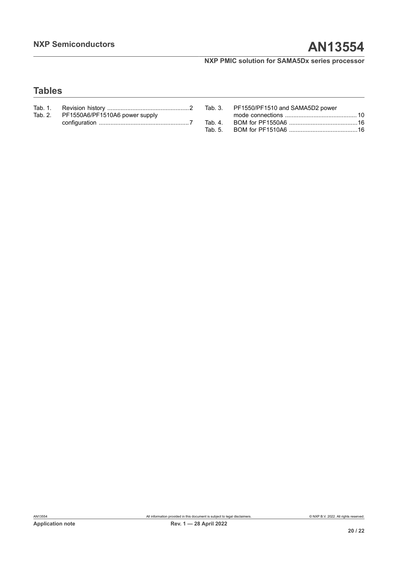## **Tables**

| Tab. 2. PF1550A6/PF1510A6 power supply |  |
|----------------------------------------|--|
|                                        |  |

| Tab. 3. PF1550/PF1510 and SAMA5D2 power |
|-----------------------------------------|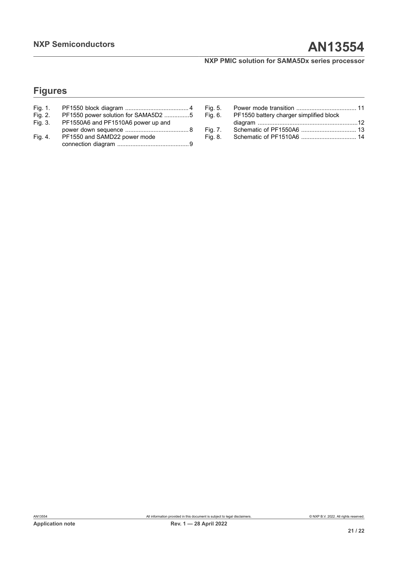## **Figures**

| Fig. 1. |                                     |
|---------|-------------------------------------|
| Fig. 2. | PF1550 power solution for SAMA5D2 5 |
| Fig. 3. | PF1550A6 and PF1510A6 power up and  |
|         |                                     |
| Fig. 4. | PF1550 and SAMD22 power mode        |
|         |                                     |

| Fig. 5. |                                         |  |
|---------|-----------------------------------------|--|
| Fig. 6. | PF1550 battery charger simplified block |  |
|         |                                         |  |
| Fig. 7. |                                         |  |
| Fig. 8. |                                         |  |